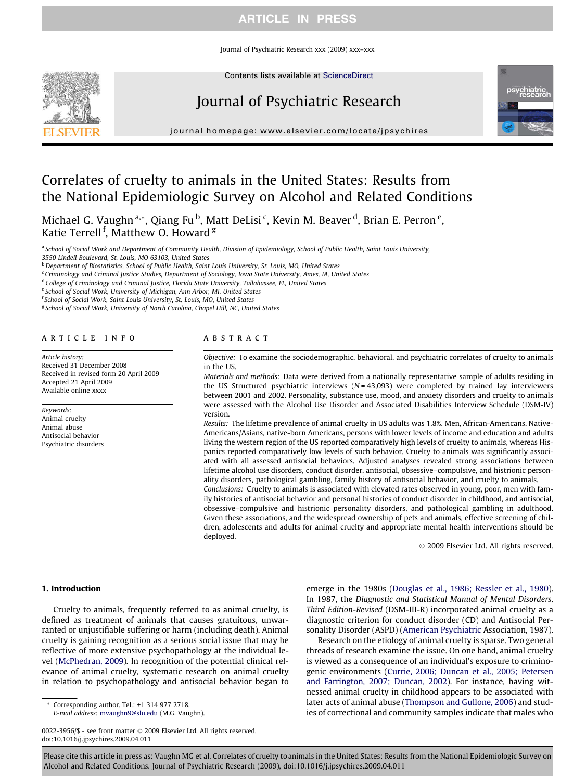Journal of Psychiatric Research xxx (2009) xxx–xxx



Contents lists available at [ScienceDirect](http://www.sciencedirect.com/science/journal/00223956)

# Journal of Psychiatric Research



journal homepage: [www.elsevier.com/locate/jpsychires](http://www.elsevier.com/locate/jpsychires)

# Correlates of cruelty to animals in the United States: Results from the National Epidemiologic Survey on Alcohol and Related Conditions

Michael G. Vaughn <sup>a,</sup>\*, Qiang Fu <sup>b</sup>, Matt DeLisi <sup>c</sup>, Kevin M. Beaver <sup>d</sup>, Brian E. Perron <sup>e</sup>, Katie Terrell <sup>f</sup>, Matthew O. Howard <sup>g</sup>

a School of Social Work and Department of Community Health, Division of Epidemiology, School of Public Health, Saint Louis University,

3550 Lindell Boulevard, St. Louis, MO 63103, United States

<sup>b</sup> Department of Biostatistics, School of Public Health, Saint Louis University, St. Louis, MO, United States

<sup>c</sup> Criminology and Criminal Justice Studies, Department of Sociology, Iowa State University, Ames, IA, United States

<sup>d</sup> College of Criminology and Criminal Justice, Florida State University, Tallahassee, FL, United States

e School of Social Work, University of Michigan, Ann Arbor, MI, United States

f School of Social Work, Saint Louis University, St. Louis, MO, United States

<sup>g</sup> School of Social Work, University of North Carolina, Chapel Hill, NC, United States

## article info

Article history: Received 31 December 2008 Received in revised form 20 April 2009 Accepted 21 April 2009 Available online xxxx

Keywords: Animal cruelty Animal abuse Antisocial behavior Psychiatric disorders

# ABSTRACT

Objective: To examine the sociodemographic, behavioral, and psychiatric correlates of cruelty to animals in the US.

Materials and methods: Data were derived from a nationally representative sample of adults residing in the US Structured psychiatric interviews  $(N = 43,093)$  were completed by trained lay interviewers between 2001 and 2002. Personality, substance use, mood, and anxiety disorders and cruelty to animals were assessed with the Alcohol Use Disorder and Associated Disabilities Interview Schedule (DSM-IV) version.

Results: The lifetime prevalence of animal cruelty in US adults was 1.8%. Men, African-Americans, Native-Americans/Asians, native-born Americans, persons with lower levels of income and education and adults living the western region of the US reported comparatively high levels of cruelty to animals, whereas Hispanics reported comparatively low levels of such behavior. Cruelty to animals was significantly associated with all assessed antisocial behaviors. Adjusted analyses revealed strong associations between lifetime alcohol use disorders, conduct disorder, antisocial, obsessive–compulsive, and histrionic personality disorders, pathological gambling, family history of antisocial behavior, and cruelty to animals.

Conclusions: Cruelty to animals is associated with elevated rates observed in young, poor, men with family histories of antisocial behavior and personal histories of conduct disorder in childhood, and antisocial, obsessive–compulsive and histrionic personality disorders, and pathological gambling in adulthood. Given these associations, and the widespread ownership of pets and animals, effective screening of children, adolescents and adults for animal cruelty and appropriate mental health interventions should be deployed.

- 2009 Elsevier Ltd. All rights reserved.

# 1. Introduction

Cruelty to animals, frequently referred to as animal cruelty, is defined as treatment of animals that causes gratuitous, unwarranted or unjustifiable suffering or harm (including death). Animal cruelty is gaining recognition as a serious social issue that may be reflective of more extensive psychopathology at the individual level [\(McPhedran, 2009\)](#page-5-0). In recognition of the potential clinical relevance of animal cruelty, systematic research on animal cruelty in relation to psychopathology and antisocial behavior began to

Corresponding author. Tel.: +1 314 977 2718. E-mail address: [mvaughn9@slu.edu](mailto:mvaughn9@slu.edu) (M.G. Vaughn).

0022-3956/\$ - see front matter © 2009 Elsevier Ltd. All rights reserved. doi:10.1016/j.jpsychires.2009.04.011

emerge in the 1980s [\(Douglas et al., 1986; Ressler et al., 1980\)](#page-5-0). In 1987, the Diagnostic and Statistical Manual of Mental Disorders, Third Edition-Revised (DSM-III-R) incorporated animal cruelty as a diagnostic criterion for conduct disorder (CD) and Antisocial Personality Disorder (ASPD) ([American Psychiatric](#page-5-0) Association, 1987).

Research on the etiology of animal cruelty is sparse. Two general threads of research examine the issue. On one hand, animal cruelty is viewed as a consequence of an individual's exposure to criminogenic environments ([Currie, 2006; Duncan et al., 2005; Petersen](#page-5-0) [and Farrington, 2007; Duncan, 2002\)](#page-5-0). For instance, having witnessed animal cruelty in childhood appears to be associated with later acts of animal abuse ([Thompson and Gullone, 2006\)](#page-5-0) and studies of correctional and community samples indicate that males who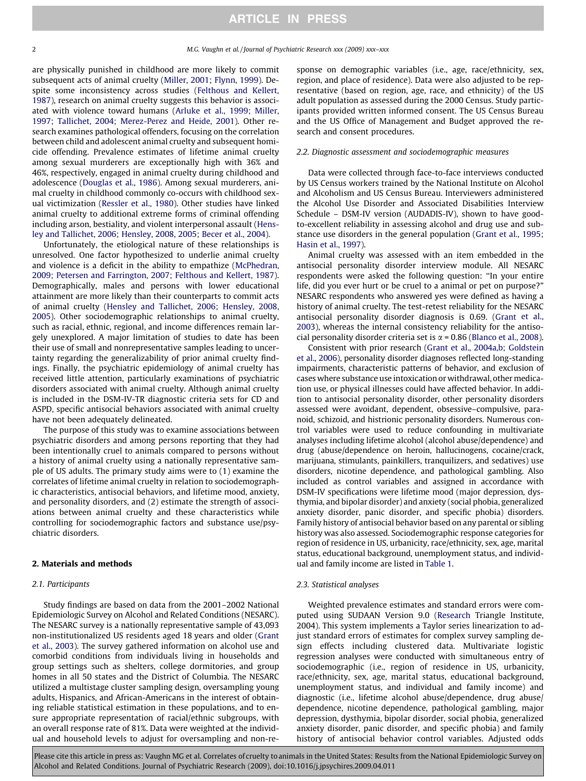are physically punished in childhood are more likely to commit subsequent acts of animal cruelty ([Miller, 2001; Flynn, 1999\)](#page-5-0). Despite some inconsistency across studies ([Felthous and Kellert,](#page-5-0) [1987\)](#page-5-0), research on animal cruelty suggests this behavior is associated with violence toward humans [\(Arluke et al., 1999; Miller,](#page-5-0) [1997; Tallichet, 2004; Merez-Perez and Heide, 2001\)](#page-5-0). Other research examines pathological offenders, focusing on the correlation between child and adolescent animal cruelty and subsequent homicide offending. Prevalence estimates of lifetime animal cruelty among sexual murderers are exceptionally high with 36% and 46%, respectively, engaged in animal cruelty during childhood and adolescence [\(Douglas et al., 1986\)](#page-5-0). Among sexual murderers, animal cruelty in childhood commonly co-occurs with childhood sexual victimization ([Ressler et al., 1980](#page-5-0)). Other studies have linked animal cruelty to additional extreme forms of criminal offending including arson, bestiality, and violent interpersonal assault [\(Hens](#page-5-0)[ley and Tallichet, 2006; Hensley, 2008, 2005; Becer et al., 2004\)](#page-5-0).

Unfortunately, the etiological nature of these relationships is unresolved. One factor hypothesized to underlie animal cruelty and violence is a deficit in the ability to empathize [\(McPhedran,](#page-5-0) [2009; Petersen and Farrington, 2007; Felthous and Kellert, 1987\)](#page-5-0). Demographically, males and persons with lower educational attainment are more likely than their counterparts to commit acts of animal cruelty ([Hensley and Tallichet, 2006; Hensley, 2008,](#page-5-0) [2005\)](#page-5-0). Other sociodemographic relationships to animal cruelty, such as racial, ethnic, regional, and income differences remain largely unexplored. A major limitation of studies to date has been their use of small and nonrepresentative samples leading to uncertainty regarding the generalizability of prior animal cruelty findings. Finally, the psychiatric epidemiology of animal cruelty has received little attention, particularly examinations of psychiatric disorders associated with animal cruelty. Although animal cruelty is included in the DSM-IV-TR diagnostic criteria sets for CD and ASPD, specific antisocial behaviors associated with animal cruelty have not been adequately delineated.

The purpose of this study was to examine associations between psychiatric disorders and among persons reporting that they had been intentionally cruel to animals compared to persons without a history of animal cruelty using a nationally representative sample of US adults. The primary study aims were to (1) examine the correlates of lifetime animal cruelty in relation to sociodemographic characteristics, antisocial behaviors, and lifetime mood, anxiety, and personality disorders, and (2) estimate the strength of associations between animal cruelty and these characteristics while controlling for sociodemographic factors and substance use/psychiatric disorders.

### 2. Materials and methods

#### 2.1. Participants

Study findings are based on data from the 2001–2002 National Epidemiologic Survey on Alcohol and Related Conditions (NESARC). The NESARC survey is a nationally representative sample of 43,093 non-institutionalized US residents aged 18 years and older [\(Grant](#page-5-0) [et al., 2003](#page-5-0)). The survey gathered information on alcohol use and comorbid conditions from individuals living in households and group settings such as shelters, college dormitories, and group homes in all 50 states and the District of Columbia. The NESARC utilized a multistage cluster sampling design, oversampling young adults, Hispanics, and African-Americans in the interest of obtaining reliable statistical estimation in these populations, and to ensure appropriate representation of racial/ethnic subgroups, with an overall response rate of 81%. Data were weighted at the individual and household levels to adjust for oversampling and non-response on demographic variables (i.e., age, race/ethnicity, sex, region, and place of residence). Data were also adjusted to be representative (based on region, age, race, and ethnicity) of the US adult population as assessed during the 2000 Census. Study participants provided written informed consent. The US Census Bureau and the US Office of Management and Budget approved the research and consent procedures.

#### 2.2. Diagnostic assessment and sociodemographic measures

Data were collected through face-to-face interviews conducted by US Census workers trained by the National Institute on Alcohol and Alcoholism and US Census Bureau. Interviewers administered the Alcohol Use Disorder and Associated Disabilities Interview Schedule – DSM-IV version (AUDADIS-IV), shown to have goodto-excellent reliability in assessing alcohol and drug use and substance use disorders in the general population ([Grant et al., 1995;](#page-5-0) [Hasin et al., 1997\)](#page-5-0).

Animal cruelty was assessed with an item embedded in the antisocial personality disorder interview module. All NESARC respondents were asked the following question: ''In your entire life, did you ever hurt or be cruel to a animal or pet on purpose?" NESARC respondents who answered yes were defined as having a history of animal cruelty. The test-retest reliability for the NESARC antisocial personality disorder diagnosis is 0.69. ([Grant](#page-5-0) et al., [2003\)](#page-5-0), whereas the internal consistency reliability for the antisocial personality disorder criteria set is  $\alpha$  = 0.86 ([Blanco et al., 2008\)](#page-5-0).

Consistent with prior research [\(Grant et al., 2004a,b; Goldstein](#page-5-0) [et al., 2006\)](#page-5-0), personality disorder diagnoses reflected long-standing impairments, characteristic patterns of behavior, and exclusion of cases where substance use intoxication or withdrawal, other medication use, or physical illnesses could have affected behavior. In addition to antisocial personality disorder, other personality disorders assessed were avoidant, dependent, obsessive–compulsive, paranoid, schizoid, and histrionic personality disorders. Numerous control variables were used to reduce confounding in multivariate analyses including lifetime alcohol (alcohol abuse/dependence) and drug (abuse/dependence on heroin, hallucinogens, cocaine/crack, marijuana, stimulants, painkillers, tranquilizers, and sedatives) use disorders, nicotine dependence, and pathological gambling. Also included as control variables and assigned in accordance with DSM-IV specifications were lifetime mood (major depression, dysthymia, and bipolar disorder) and anxiety (social phobia, generalized anxiety disorder, panic disorder, and specific phobia) disorders. Family history of antisocial behavior based on any parental or sibling history was also assessed. Sociodemographic response categories for region of residence in US, urbanicity, race/ethnicity, sex, age, marital status, educational background, unemployment status, and individual and family income are listed in [Table 1](#page-2-0).

#### 2.3. Statistical analyses

Weighted prevalence estimates and standard errors were computed using SUDAAN Version 9.0 ([Research](#page-5-0) Triangle Institute, 2004). This system implements a Taylor series linearization to adjust standard errors of estimates for complex survey sampling design effects including clustered data. Multivariate logistic regression analyses were conducted with simultaneous entry of sociodemographic (i.e., region of residence in US, urbanicity, race/ethnicity, sex, age, marital status, educational background, unemployment status, and individual and family income) and diagnostic (i.e., lifetime alcohol abuse/dependence, drug abuse/ dependence, nicotine dependence, pathological gambling, major depression, dysthymia, bipolar disorder, social phobia, generalized anxiety disorder, panic disorder, and specific phobia) and family history of antisocial behavior control variables. Adjusted odds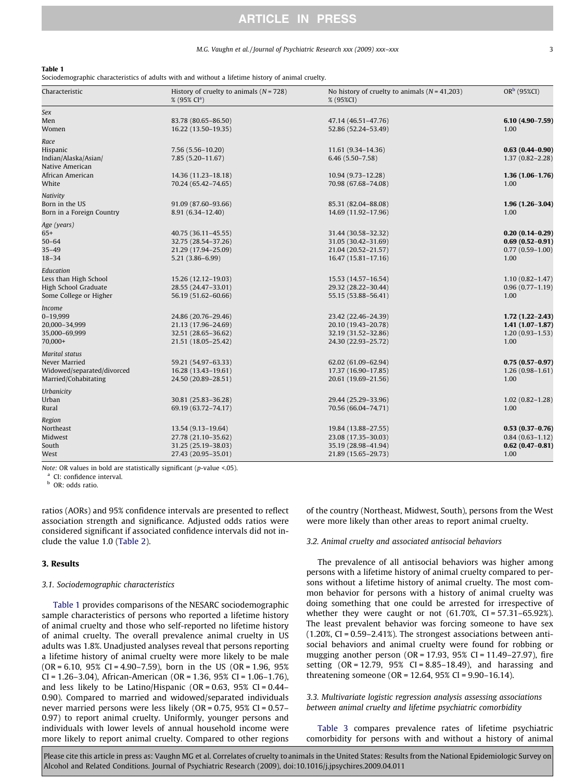### M.G. Vaughn et al. / Journal of Psychiatric Research xxx (2009) xxx–xxx 3 3

#### <span id="page-2-0"></span>Table 1

Sociodemographic characteristics of adults with and without a lifetime history of animal cruelty.

| Characteristic                      | History of cruelty to animals $(N = 728)$<br>% (95% $Cla$ ) | No history of cruelty to animals $(N = 41,203)$<br>% (95%CI) | $ORb$ (95%CI)             |
|-------------------------------------|-------------------------------------------------------------|--------------------------------------------------------------|---------------------------|
| Sex                                 |                                                             |                                                              |                           |
| Men                                 | 83.78 (80.65-86.50)                                         | 47.14 (46.51-47.76)                                          | $6.10(4.90 - 7.59)$       |
| Women                               | 16.22 (13.50-19.35)                                         | 52.86 (52.24-53.49)                                          | 1.00                      |
| Race                                |                                                             |                                                              |                           |
| Hispanic                            | 7.56 (5.56-10.20)                                           | 11.61 (9.34-14.36)                                           | $0.63(0.44 - 0.90)$       |
| Indian/Alaska/Asian/                | $7.85(5.20-11.67)$                                          | $6.46(5.50-7.58)$                                            | $1.37(0.82 - 2.28)$       |
| Native American<br>African American |                                                             |                                                              |                           |
| White                               | 14.36 (11.23-18.18)<br>70.24 (65.42-74.65)                  | 10.94 (9.73-12.28)<br>70.98 (67.68-74.08)                    | $1.36(1.06-1.76)$<br>1.00 |
|                                     |                                                             |                                                              |                           |
| Nativity                            |                                                             |                                                              |                           |
| Born in the US                      | 91.09 (87.60-93.66)                                         | 85.31 (82.04-88.08)                                          | $1.96(1.26-3.04)$         |
| Born in a Foreign Country           | 8.91 (6.34-12.40)                                           | 14.69 (11.92-17.96)                                          | 1.00                      |
| Age (years)                         |                                                             |                                                              |                           |
| $65+$                               | 40.75 (36.11-45.55)                                         | 31.44 (30.58-32.32)                                          | $0.20(0.14-0.29)$         |
| $50 - 64$                           | 32.75 (28.54-37.26)                                         | 31.05 (30.42-31.69)                                          | $0.69(0.52 - 0.91)$       |
| $35 - 49$                           | 21.29 (17.94-25.09)                                         | 21.04 (20.52-21.57)                                          | $0.77(0.59 - 1.00)$       |
| $18 - 34$                           | $5.21(3.86 - 6.99)$                                         | 16.47 (15.81-17.16)                                          | 1.00                      |
| Education                           |                                                             |                                                              |                           |
| Less than High School               | 15.26 (12.12-19.03)                                         | 15.53 (14.57-16.54)                                          | $1.10(0.82 - 1.47)$       |
| High School Graduate                | 28.55 (24.47-33.01)                                         | 29.32 (28.22-30.44)                                          | $0.96(0.77 - 1.19)$       |
| Some College or Higher              | 56.19 (51.62-60.66)                                         | 55.15 (53.88-56.41)                                          | 1.00                      |
| Income                              |                                                             |                                                              |                           |
| $0 - 19,999$                        | 24.86 (20.76-29.46)                                         | 23.42 (22.46-24.39)                                          | $1.72(1.22 - 2.43)$       |
| 20,000-34,999                       | 21.13 (17.96-24.69)                                         | 20.10 (19.43-20.78)                                          | $1.41(1.07-1.87)$         |
| 35,000-69,999                       | 32.51 (28.65-36.62)                                         | 32.19 (31.52-32.86)                                          | $1.20(0.93 - 1.53)$       |
| 70,000+                             | 21.51 (18.05-25.42)                                         | 24.30 (22.93-25.72)                                          | 1.00                      |
| Marital status                      |                                                             |                                                              |                           |
| Never Married                       | 59.21 (54.97-63.33)                                         | 62.02 (61.09-62.94)                                          | $0.75(0.57-0.97)$         |
| Widowed/separated/divorced          | 16.28 (13.43-19.61)                                         | 17.37 (16.90-17.85)                                          | $1.26(0.98-1.61)$         |
| Married/Cohabitating                | 24.50 (20.89-28.51)                                         | 20.61 (19.69-21.56)                                          | 1.00                      |
| Urbanicity                          |                                                             |                                                              |                           |
| Urban                               | 30.81 (25.83-36.28)                                         | 29.44 (25.29-33.96)                                          | $1.02(0.82 - 1.28)$       |
| Rural                               | 69.19 (63.72-74.17)                                         | 70.56 (66.04-74.71)                                          | 1.00                      |
|                                     |                                                             |                                                              |                           |
| Region                              |                                                             |                                                              |                           |
| Northeast                           | 13.54 (9.13-19.64)                                          | 19.84 (13.88-27.55)                                          | $0.53(0.37-0.76)$         |
| Midwest                             | 27.78 (21.10-35.62)                                         | 23.08 (17.35 - 30.03)                                        | $0.84(0.63 - 1.12)$       |
| South<br>West                       | 31.25 (25.19-38.03)<br>27.43 (20.95-35.01)                  | 35.19 (28.98-41.94)<br>21.89 (15.65-29.73)                   | $0.62(0.47-0.81)$<br>1.00 |
|                                     |                                                             |                                                              |                           |

Note: OR values in bold are statistically significant (p-value <.05).

CI: confidence interval.

<sup>b</sup> OR: odds ratio.

ratios (AORs) and 95% confidence intervals are presented to reflect association strength and significance. Adjusted odds ratios were considered significant if associated confidence intervals did not include the value 1.0 ([Table 2](#page-3-0)).

### 3. Results

#### 3.1. Sociodemographic characteristics

Table 1 provides comparisons of the NESARC sociodemographic sample characteristics of persons who reported a lifetime history of animal cruelty and those who self-reported no lifetime history of animal cruelty. The overall prevalence animal cruelty in US adults was 1.8%. Unadjusted analyses reveal that persons reporting a lifetime history of animal cruelty were more likely to be male  $(OR = 6.10, 95\% CI = 4.90 - 7.59)$ , born in the US  $(OR = 1.96, 95\%)$ CI = 1.26–3.04), African-American (OR = 1.36, 95% CI = 1.06–1.76), and less likely to be Latino/Hispanic (OR =  $0.63$ ,  $95\%$  CI =  $0.44-$ 0.90). Compared to married and widowed/separated individuals never married persons were less likely (OR = 0.75, 95% CI = 0.57– 0.97) to report animal cruelty. Uniformly, younger persons and individuals with lower levels of annual household income were more likely to report animal cruelty. Compared to other regions of the country (Northeast, Midwest, South), persons from the West were more likely than other areas to report animal cruelty.

### 3.2. Animal cruelty and associated antisocial behaviors

The prevalence of all antisocial behaviors was higher among persons with a lifetime history of animal cruelty compared to persons without a lifetime history of animal cruelty. The most common behavior for persons with a history of animal cruelty was doing something that one could be arrested for irrespective of whether they were caught or not  $(61.70\% , CI = 57.31-65.92\%).$ The least prevalent behavior was forcing someone to have sex  $(1.20\% , CI = 0.59 - 2.41\%)$ . The strongest associations between antisocial behaviors and animal cruelty were found for robbing or mugging another person (OR = 17.93, 95% CI = 11.49–27.97), fire setting (OR = 12.79, 95% CI = 8.85–18.49), and harassing and threatening someone (OR = 12.64, 95% CI = 9.90–16.14).

3.3. Multivariate logistic regression analysis assessing associations between animal cruelty and lifetime psychiatric comorbidity

[Table 3](#page-4-0) compares prevalence rates of lifetime psychiatric comorbidity for persons with and without a history of animal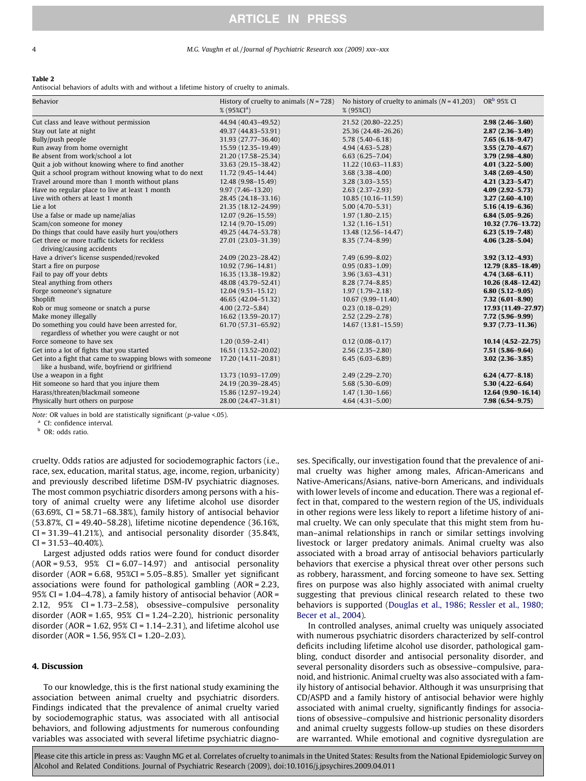#### <span id="page-3-0"></span>4 M.G. Vaughn et al. / Journal of Psychiatric Research xxx (2009) xxx–xxx

#### Table 2

Antisocial behaviors of adults with and without a lifetime history of cruelty to animals.

| Behavior                                                                    | History of cruelty to animals $(N = 728)$<br>$% (95\% CIa)$ | No history of cruelty to animals $(N = 41,203)$<br>% (95%CI) | $ORb$ 95% CI          |
|-----------------------------------------------------------------------------|-------------------------------------------------------------|--------------------------------------------------------------|-----------------------|
| Cut class and leave without permission                                      | 44.94 (40.43-49.52)                                         | 21.52 (20.80-22.25)                                          | $2.98(2.46-3.60)$     |
| Stay out late at night                                                      | 49.37 (44.83-53.91)                                         | 25.36 (24.48-26.26)                                          | $2.87(2.36-3.49)$     |
| Bully/push people                                                           | 31.93 (27.77-36.40)                                         | $5.78(5.40 - 6.18)$                                          | $7.65(6.18-9.47)$     |
| Run away from home overnight                                                | 15.59 (12.35-19.49)                                         | $4.94(4.63 - 5.28)$                                          | $3.55(2.70-4.67)$     |
| Be absent from work/school a lot                                            | 21.20 (17.58-25.34)                                         | $6.63(6.25 - 7.04)$                                          | $3.79(2.98 - 4.80)$   |
| Quit a job without knowing where to find another                            | 33.63 (29.15-38.42)                                         | 11.22 (10.63-11.83)                                          | $4.01(3.22 - 5.00)$   |
| Quit a school program without knowing what to do next                       | 11.72 (9.45-14.44)                                          | $3.68(3.38 - 4.00)$                                          | $3.48(2.69 - 4.50)$   |
| Travel around more than 1 month without plans                               | 12.48 (9.98-15.49)                                          | $3.28(3.03 - 3.55)$                                          | $4.21(3.23 - 5.47)$   |
| Have no regular place to live at least 1 month                              | $9.97(7.46 - 13.20)$                                        | $2.63(2.37-2.93)$                                            | $4.09(2.92 - 5.73)$   |
| Live with others at least 1 month                                           | 28.45 (24.18-33.16)                                         | 10.85 (10.16-11.59)                                          | $3.27(2.60-4.10)$     |
| Lie a lot                                                                   | 21.35 (18.12-24.99)                                         | $5.00(4.70-5.31)$                                            | $5.16(4.19-6.36)$     |
| Use a false or made up name/alias                                           | 12.07 (9.26-15.59)                                          | $1.97(1.80 - 2.15)$                                          | $6.84(5.05-9.26)$     |
| Scam/con someone for money                                                  | 12.14 (9.70-15.09)                                          | $1.32(1.16-1.51)$                                            | $10.32(7.76-13.72)$   |
| Do things that could have easily hurt you/others                            | 49.25 (44.74-53.78)                                         | 13.48 (12.56-14.47)                                          | $6.23(5.19-7.48)$     |
| Get three or more traffic tickets for reckless<br>driving/causing accidents | 27.01 (23.03-31.39)                                         | 8.35 (7.74-8.99)                                             | $4.06(3.28 - 5.04)$   |
| Have a driver's license suspended/revoked                                   | 24.09 (20.23-28.42)                                         | $7.49(6.99 - 8.02)$                                          | $3.92(3.12 - 4.93)$   |
| Start a fire on purpose                                                     | 10.92 (7.96-14.81)                                          | $0.95(0.83 - 1.09)$                                          | $12.79(8.85 - 18.49)$ |
| Fail to pay off your debts                                                  | 16.35 (13.38-19.82)                                         | $3.96(3.63 - 4.31)$                                          | $4.74(3.68 - 6.11)$   |
| Steal anything from others                                                  | 48.08 (43.79-52.41)                                         | $8.28(7.74 - 8.85)$                                          | 10.26 (8.48-12.42)    |
| Forge someone's signature                                                   | $12.04(9.51 - 15.12)$                                       | $1.97(1.79 - 2.18)$                                          | $6.80(5.12 - 9.05)$   |
| Shoplift                                                                    | 46.65 (42.04-51.32)                                         | 10.67 (9.99-11.40)                                           | $7.32(6.01 - 8.90)$   |
| Rob or mug someone or snatch a purse                                        | $4.00(2.72 - 5.84)$                                         | $0.23(0.18-0.29)$                                            | 17.93 (11.49-27.97)   |
| Make money illegally                                                        | 16.62 (13.59-20.17)                                         | $2.52(2.29 - 2.78)$                                          | $7.72(5.96-9.99)$     |
| Do something you could have been arrested for,                              | 61.70 (57.31-65.92)                                         | 14.67 (13.81-15.59)                                          | $9.37(7.73 - 11.36)$  |
| regardless of whether you were caught or not                                |                                                             |                                                              |                       |
| Force someone to have sex                                                   | $1.20(0.59 - 2.41)$                                         | $0.12(0.08 - 0.17)$                                          | $10.14(4.52 - 22.75)$ |
| Get into a lot of fights that you started                                   | 16.51 (13.52-20.02)                                         | $2.56(2.35 - 2.80)$                                          | $7.51(5.86-9.64)$     |
| Get into a fight that came to swapping blows with someone                   | 17.20 (14.11-20.81)                                         | $6.45(6.03 - 6.89)$                                          | $3.02(2.36-3.85)$     |
| like a husband, wife, boyfriend or girlfriend                               |                                                             |                                                              |                       |
| Use a weapon in a fight                                                     | 13.73 (10.93-17.09)                                         | $2.49(2.29 - 2.70)$                                          | $6.24(4.77-8.18)$     |
| Hit someone so hard that you injure them                                    | 24.19 (20.39-28.45)                                         | $5.68(5.30 - 6.09)$                                          | $5.30(4.22 - 6.64)$   |
| Harass/threaten/blackmail someone                                           | 15.86 (12.97-19.24)                                         | $1.47(1.30-1.66)$                                            | $12.64(9.90-16.14)$   |
| Physically hurt others on purpose                                           | 28.00 (24.47-31.81)                                         | $4.64(4.31 - 5.00)$                                          | $7.98(6.54 - 9.75)$   |

Note: OR values in bold are statistically significant (p-value <.05).

<sup>a</sup> CI: confidence interval.

**b** OR: odds ratio.

cruelty. Odds ratios are adjusted for sociodemographic factors (i.e., race, sex, education, marital status, age, income, region, urbanicity) and previously described lifetime DSM-IV psychiatric diagnoses. The most common psychiatric disorders among persons with a history of animal cruelty were any lifetime alcohol use disorder (63.69%, CI = 58.71–68.38%), family history of antisocial behavior (53.87%, CI = 49.40–58.28), lifetime nicotine dependence (36.16%, CI = 31.39–41.21%), and antisocial personality disorder (35.84%,  $CI = 31.53 - 40.40\%$ ).

Largest adjusted odds ratios were found for conduct disorder  $(AOR = 9.53, 95\% \text{ CI} = 6.07 - 14.97)$  and antisocial personality disorder (AOR = 6.68, 95%CI = 5.05–8.85). Smaller yet significant associations were found for pathological gambling (AOR = 2.23, 95% CI = 1.04–4.78), a family history of antisocial behavior (AOR = 2.12, 95% CI = 1.73–2.58), obsessive–compulsive personality disorder (AOR =  $1.65$ , 95% CI =  $1.24-2.20$ ), histrionic personality disorder (AOR =  $1.62$ ,  $95\%$  CI =  $1.14-2.31$ ), and lifetime alcohol use disorder (AOR = 1.56, 95% CI = 1.20–2.03).

#### 4. Discussion

To our knowledge, this is the first national study examining the association between animal cruelty and psychiatric disorders. Findings indicated that the prevalence of animal cruelty varied by sociodemographic status, was associated with all antisocial behaviors, and following adjustments for numerous confounding variables was associated with several lifetime psychiatric diagnoses. Specifically, our investigation found that the prevalence of animal cruelty was higher among males, African-Americans and Native-Americans/Asians, native-born Americans, and individuals with lower levels of income and education. There was a regional effect in that, compared to the western region of the US, individuals in other regions were less likely to report a lifetime history of animal cruelty. We can only speculate that this might stem from human–animal relationships in ranch or similar settings involving livestock or larger predatory animals. Animal cruelty was also associated with a broad array of antisocial behaviors particularly behaviors that exercise a physical threat over other persons such as robbery, harassment, and forcing someone to have sex. Setting fires on purpose was also highly associated with animal cruelty suggesting that previous clinical research related to these two behaviors is supported [\(Douglas et al., 1986; Ressler et al., 1980;](#page-5-0) [Becer et al., 2004](#page-5-0)).

In controlled analyses, animal cruelty was uniquely associated with numerous psychiatric disorders characterized by self-control deficits including lifetime alcohol use disorder, pathological gambling, conduct disorder and antisocial personality disorder, and several personality disorders such as obsessive–compulsive, paranoid, and histrionic. Animal cruelty was also associated with a family history of antisocial behavior. Although it was unsurprising that CD/ASPD and a family history of antisocial behavior were highly associated with animal cruelty, significantly findings for associations of obsessive–compulsive and histrionic personality disorders and animal cruelty suggests follow-up studies on these disorders are warranted. While emotional and cognitive dysregulation are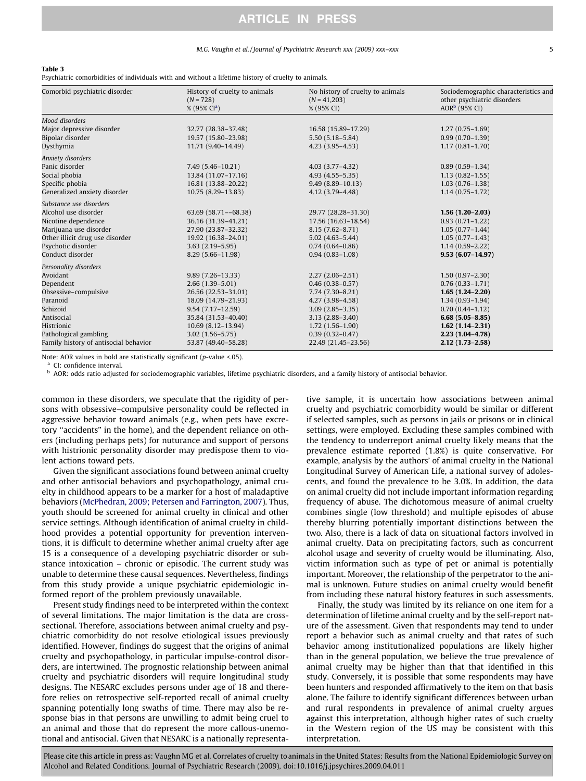#### M.G. Vaughn et al. / Journal of Psychiatric Research xxx (2009) xxx–xxx 5

#### <span id="page-4-0"></span>Table 3

Psychiatric comorbidities of individuals with and without a lifetime history of cruelty to animals.

| Comorbid psychiatric disorder         | History of cruelty to animals<br>$(N = 728)$<br>% (95% CI <sup>a</sup> ) | No history of cruelty to animals<br>$(N = 41,203)$<br>% (95% CI) | Sociodemographic characteristics and<br>other psychiatric disorders<br>$AORb$ (95% CI) |
|---------------------------------------|--------------------------------------------------------------------------|------------------------------------------------------------------|----------------------------------------------------------------------------------------|
| Mood disorders                        |                                                                          |                                                                  |                                                                                        |
| Major depressive disorder             | 32.77 (28.38–37.48)                                                      | 16.58 (15.89–17.29)                                              | $1.27(0.75-1.69)$                                                                      |
| Bipolar disorder                      | 19.57 (15.80-23.98)                                                      | $5.50(5.18 - 5.84)$                                              | $0.99(0.70-1.39)$                                                                      |
| Dysthymia                             | 11.71 (9.40-14.49)                                                       | $4.23(3.95 - 4.53)$                                              | $1.17(0.81 - 1.70)$                                                                    |
| Anxiety disorders                     |                                                                          |                                                                  |                                                                                        |
| Panic disorder                        | $7.49(5.46 - 10.21)$                                                     | $4.03(3.77 - 4.32)$                                              | $0.89(0.59-1.34)$                                                                      |
| Social phobia                         | 13.84 (11.07-17.16)                                                      | $4.93(4.55 - 5.35)$                                              | $1.13(0.82 - 1.55)$                                                                    |
| Specific phobia                       | 16.81 (13.88-20.22)                                                      | $9.49(8.89 - 10.13)$                                             | $1.03(0.76 - 1.38)$                                                                    |
| Generalized anxiety disorder          | 10.75 (8.29-13.83)                                                       | $4.12(3.79 - 4.48)$                                              | $1.14(0.75 - 1.72)$                                                                    |
| Substance use disorders               |                                                                          |                                                                  |                                                                                        |
| Alcohol use disorder                  | $63.69(58.71 - 68.38)$                                                   | 29.77 (28.28-31.30)                                              | $1.56(1.20-2.03)$                                                                      |
| Nicotine dependence                   | 36.16 (31.39-41.21)                                                      | 17.56 (16.63-18.54)                                              | $0.93(0.71 - 1.22)$                                                                    |
| Marijuana use disorder                | 27.90 (23.87-32.32)                                                      | $8.15(7.62 - 8.71)$                                              | $1.05(0.77-1.44)$                                                                      |
| Other illicit drug use disorder       | 19.92 (16.38-24.01)                                                      | $5.02(4.63 - 5.44)$                                              | $1.05(0.77-1.43)$                                                                      |
| Psychotic disorder                    | $3.63(2.19 - 5.95)$                                                      | $0.74(0.64 - 0.86)$                                              | $1.14(0.59 - 2.22)$                                                                    |
| Conduct disorder                      | 8.29 (5.66-11.98)                                                        | $0.94(0.83 - 1.08)$                                              | $9.53(6.07 - 14.97)$                                                                   |
| Personality disorders                 |                                                                          |                                                                  |                                                                                        |
| Avoidant                              | $9.89(7.26 - 13.33)$                                                     | $2.27(2.06-2.51)$                                                | $1.50(0.97 - 2.30)$                                                                    |
| Dependent                             | $2.66(1.39 - 5.01)$                                                      | $0.46(0.38 - 0.57)$                                              | $0.76(0.33 - 1.71)$                                                                    |
| Obsessive-compulsive                  | 26.56 (22.53-31.01)                                                      | 7.74 (7.30-8.21)                                                 | $1.65(1.24 - 2.20)$                                                                    |
| Paranoid                              | 18.09 (14.79-21.93)                                                      | $4.27(3.98-4.58)$                                                | $1.34(0.93 - 1.94)$                                                                    |
| Schizoid                              | $9.54(7.17-12.59)$                                                       | $3.09(2.85 - 3.35)$                                              | $0.70(0.44 - 1.12)$                                                                    |
| Antisocial                            | 35.84 (31.53-40.40)                                                      | $3.13(2.88 - 3.40)$                                              | $6.68(5.05 - 8.85)$                                                                    |
| Histrionic                            | $10.69(8.12-13.94)$                                                      | $1.72(1.56-1.90)$                                                | $1.62(1.14-2.31)$                                                                      |
| Pathological gambling                 | $3.02(1.56 - 5.75)$                                                      | $0.39(0.32 - 0.47)$                                              | $2.23(1.04-4.78)$                                                                      |
| Family history of antisocial behavior | 53.87 (49.40-58.28)                                                      | 22.49 (21.45-23.56)                                              | $2.12(1.73 - 2.58)$                                                                    |

Note: AOR values in bold are statistically significant ( $p$ -value <.05).

<sup>a</sup> CI: confidence interval.

<sup>b</sup> AOR: odds ratio adjusted for sociodemographic variables, lifetime psychiatric disorders, and a family history of antisocial behavior.

common in these disorders, we speculate that the rigidity of persons with obsessive–compulsive personality could be reflected in aggressive behavior toward animals (e.g., when pets have excretory ''accidents" in the home), and the dependent reliance on others (including perhaps pets) for nuturance and support of persons with histrionic personality disorder may predispose them to violent actions toward pets.

Given the significant associations found between animal cruelty and other antisocial behaviors and psychopathology, animal cruelty in childhood appears to be a marker for a host of maladaptive behaviors [\(McPhedran, 2009; Petersen and Farrington, 2007\)](#page-5-0). Thus, youth should be screened for animal cruelty in clinical and other service settings. Although identification of animal cruelty in childhood provides a potential opportunity for prevention interventions, it is difficult to determine whether animal cruelty after age 15 is a consequence of a developing psychiatric disorder or substance intoxication – chronic or episodic. The current study was unable to determine these causal sequences. Nevertheless, findings from this study provide a unique psychiatric epidemiologic informed report of the problem previously unavailable.

Present study findings need to be interpreted within the context of several limitations. The major limitation is the data are crosssectional. Therefore, associations between animal cruelty and psychiatric comorbidity do not resolve etiological issues previously identified. However, findings do suggest that the origins of animal cruelty and psychopathology, in particular impulse-control disorders, are intertwined. The prognostic relationship between animal cruelty and psychiatric disorders will require longitudinal study designs. The NESARC excludes persons under age of 18 and therefore relies on retrospective self-reported recall of animal cruelty spanning potentially long swaths of time. There may also be response bias in that persons are unwilling to admit being cruel to an animal and those that do represent the more callous-unemotional and antisocial. Given that NESARC is a nationally representative sample, it is uncertain how associations between animal cruelty and psychiatric comorbidity would be similar or different if selected samples, such as persons in jails or prisons or in clinical settings, were employed. Excluding these samples combined with the tendency to underreport animal cruelty likely means that the prevalence estimate reported (1.8%) is quite conservative. For example, analysis by the authors' of animal cruelty in the National Longitudinal Survey of American Life, a national survey of adolescents, and found the prevalence to be 3.0%. In addition, the data on animal cruelty did not include important information regarding frequency of abuse. The dichotomous measure of animal cruelty combines single (low threshold) and multiple episodes of abuse thereby blurring potentially important distinctions between the two. Also, there is a lack of data on situational factors involved in animal cruelty. Data on precipitating factors, such as concurrent alcohol usage and severity of cruelty would be illuminating. Also, victim information such as type of pet or animal is potentially important. Moreover, the relationship of the perpetrator to the animal is unknown. Future studies on animal cruelty would benefit from including these natural history features in such assessments.

Finally, the study was limited by its reliance on one item for a determination of lifetime animal cruelty and by the self-report nature of the assessment. Given that respondents may tend to under report a behavior such as animal cruelty and that rates of such behavior among institutionalized populations are likely higher than in the general population, we believe the true prevalence of animal cruelty may be higher than that that identified in this study. Conversely, it is possible that some respondents may have been hunters and responded affirmatively to the item on that basis alone. The failure to identify significant differences between urban and rural respondents in prevalence of animal cruelty argues against this interpretation, although higher rates of such cruelty in the Western region of the US may be consistent with this interpretation.